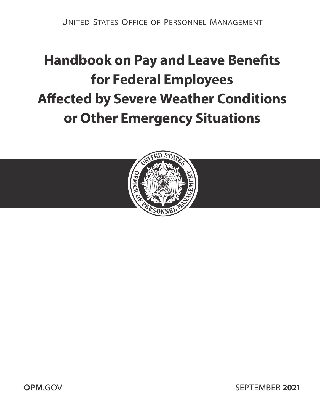# **Handbook on Pay and Leave Benefts for Federal Employees Afected by Severe Weather Conditions or Other Emergency Situations**



**OPM.GOV SEPTEMBER 2021**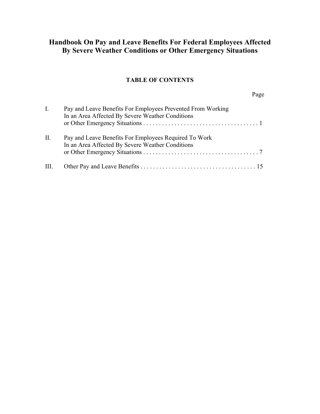# **Handbook On Pay and Leave Benefits For Federal Employees Affected By Severe Weather Conditions or Other Emergency Situations**

# **TABLE OF CONTENTS**

Page

| Ι.        | Pay and Leave Benefits For Employees Prevented From Working<br>In an Area Affected By Severe Weather Conditions |
|-----------|-----------------------------------------------------------------------------------------------------------------|
| $\prod$ . | Pay and Leave Benefits For Employees Required To Work<br>In an Area Affected By Severe Weather Conditions       |
|           |                                                                                                                 |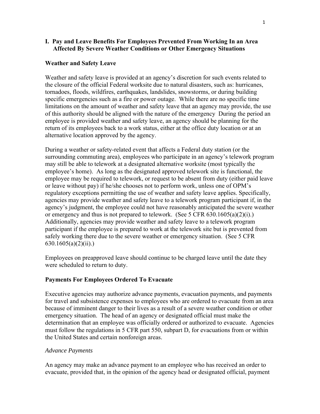#### <span id="page-2-0"></span>**I. Pay and Leave Benefits For Employees Prevented From Working In an Area Affected By Severe Weather Conditions or Other Emergency Situations**

#### **Weather and Safety Leave**

Weather and safety leave is provided at an agency's discretion for such events related to the closure of the official Federal worksite due to natural disasters, such as: hurricanes, tornadoes, floods, wildfires, earthquakes, landslides, snowstorms, or during building specific emergencies such as a fire or power outage. While there are no specific time limitations on the amount of weather and safety leave that an agency may provide, the use of this authority should be aligned with the nature of the emergency During the period an employee is provided weather and safety leave, an agency should be planning for the return of its employees back to a work status, either at the office duty location or at an alternative location approved by the agency.

During a weather or safety-related event that affects a Federal duty station (or the surrounding commuting area), employees who participate in an agency's telework program may still be able to telework at a designated alternative worksite (most typically the employee's home). As long as the designated approved telework site is functional, the employee may be required to telework, or request to be absent from duty (either paid leave or leave without pay) if he/she chooses not to perform work, unless one of OPM's regulatory exceptions permitting the use of weather and safety leave applies. Specifically, agencies may provide weather and safety leave to a telework program participant if, in the agency's judgment, the employee could not have reasonably anticipated the severe weather or emergency and thus is not prepared to telework. (See 5 CFR 630.1605(a)(2)(i).) Additionally, agencies may provide weather and safety leave to a telework program participant if the employee is prepared to work at the telework site but is prevented from safely working there due to the severe weather or emergency situation. (See 5 CFR 630.1605(a)(2)(ii).)

Employees on preapproved leave should continue to be charged leave until the date they were scheduled to return to duty.

#### **Payments For Employees Ordered To Evacuate**

Executive agencies may authorize advance payments, evacuation payments, and payments for travel and subsistence expenses to employees who are ordered to evacuate from an area because of imminent danger to their lives as a result of a severe weather condition or other emergency situation. The head of an agency or designated official must make the determination that an employee was officially ordered or authorized to evacuate. Agencies must follow the regulations in 5 CFR part 550, subpart D, for evacuations from or within the United States and certain nonforeign areas.

#### *Advance Payments*

An agency may make an advance payment to an employee who has received an order to evacuate, provided that, in the opinion of the agency head or designated official, payment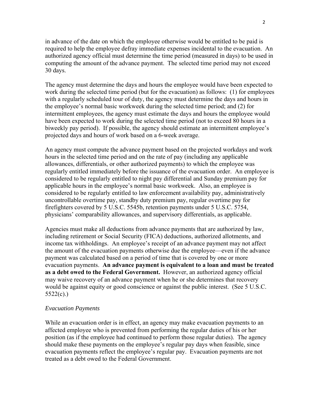in advance of the date on which the employee otherwise would be entitled to be paid is required to help the employee defray immediate expenses incidental to the evacuation. An authorized agency official must determine the time period (measured in days) to be used in computing the amount of the advance payment. The selected time period may not exceed 30 days.

The agency must determine the days and hours the employee would have been expected to work during the selected time period (but for the evacuation) as follows: (1) for employees with a regularly scheduled tour of duty, the agency must determine the days and hours in the employee's normal basic workweek during the selected time period; and (2) for intermittent employees, the agency must estimate the days and hours the employee would have been expected to work during the selected time period (not to exceed 80 hours in a biweekly pay period). If possible, the agency should estimate an intermittent employee's projected days and hours of work based on a 6-week average.

An agency must compute the advance payment based on the projected workdays and work hours in the selected time period and on the rate of pay (including any applicable allowances, differentials, or other authorized payments) to which the employee was regularly entitled immediately before the issuance of the evacuation order. An employee is considered to be regularly entitled to night pay differential and Sunday premium pay for applicable hours in the employee's normal basic workweek. Also, an employee is considered to be regularly entitled to law enforcement availability pay, administratively uncontrollable overtime pay, standby duty premium pay, regular overtime pay for firefighters covered by 5 U.S.C. 5545b, retention payments under 5 U.S.C. 5754, physicians' comparability allowances, and supervisory differentials, as applicable.

Agencies must make all deductions from advance payments that are authorized by law, including retirement or Social Security (FICA) deductions, authorized allotments, and income tax withholdings. An employee's receipt of an advance payment may not affect the amount of the evacuation payments otherwise due the employee—even if the advance payment was calculated based on a period of time that is covered by one or more evacuation payments. **An advance payment is equivalent to a loan and must be treated as a debt owed to the Federal Government.** However, an authorized agency official may waive recovery of an advance payment when he or she determines that recovery would be against equity or good conscience or against the public interest. (See 5 U.S.C. 5522(c).)

#### *Evacuation Payments*

While an evacuation order is in effect, an agency may make evacuation payments to an affected employee who is prevented from performing the regular duties of his or her position (as if the employee had continued to perform those regular duties). The agency should make these payments on the employee's regular pay days when feasible, since evacuation payments reflect the employee's regular pay. Evacuation payments are not treated as a debt owed to the Federal Government.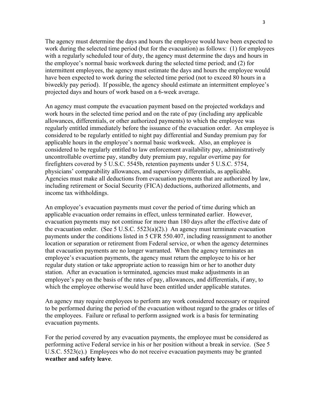The agency must determine the days and hours the employee would have been expected to work during the selected time period (but for the evacuation) as follows: (1) for employees with a regularly scheduled tour of duty, the agency must determine the days and hours in the employee's normal basic workweek during the selected time period; and (2) for intermittent employees, the agency must estimate the days and hours the employee would have been expected to work during the selected time period (not to exceed 80 hours in a biweekly pay period). If possible, the agency should estimate an intermittent employee's projected days and hours of work based on a 6-week average.

An agency must compute the evacuation payment based on the projected workdays and work hours in the selected time period and on the rate of pay (including any applicable allowances, differentials, or other authorized payments) to which the employee was regularly entitled immediately before the issuance of the evacuation order. An employee is considered to be regularly entitled to night pay differential and Sunday premium pay for applicable hours in the employee's normal basic workweek. Also, an employee is considered to be regularly entitled to law enforcement availability pay, administratively uncontrollable overtime pay, standby duty premium pay, regular overtime pay for firefighters covered by 5 U.S.C. 5545b, retention payments under 5 U.S.C. 5754, physicians' comparability allowances, and supervisory differentials, as applicable. Agencies must make all deductions from evacuation payments that are authorized by law, including retirement or Social Security (FICA) deductions, authorized allotments, and income tax withholdings.

An employee's evacuation payments must cover the period of time during which an applicable evacuation order remains in effect, unless terminated earlier. However, evacuation payments may not continue for more than 180 days after the effective date of the evacuation order. (See 5 U.S.C.  $5523(a)(2)$ .) An agency must terminate evacuation payments under the conditions listed in 5 CFR 550.407, including reassignment to another location or separation or retirement from Federal service, or when the agency determines that evacuation payments are no longer warranted. When the agency terminates an employee's evacuation payments, the agency must return the employee to his or her regular duty station or take appropriate action to reassign him or her to another duty station. After an evacuation is terminated, agencies must make adjustments in an employee's pay on the basis of the rates of pay, allowances, and differentials, if any, to which the employee otherwise would have been entitled under applicable statutes.

An agency may require employees to perform any work considered necessary or required to be performed during the period of the evacuation without regard to the grades or titles of the employees. Failure or refusal to perform assigned work is a basis for terminating evacuation payments.

For the period covered by any evacuation payments, the employee must be considered as performing active Federal service in his or her position without a break in service. (See 5 U.S.C. 5523(c).) Employees who do not receive evacuation payments may be granted **weather and safety leave**.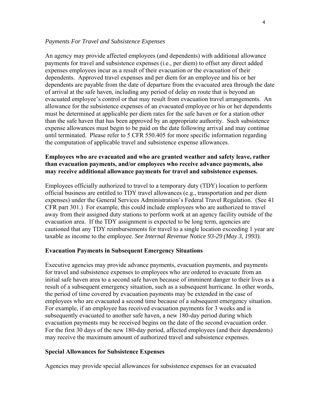#### *Payments For Travel and Subsistence Expenses*

An agency may provide affected employees (and dependents) with additional allowance payments for travel and subsistence expenses (i.e., per diem) to offset any direct added expenses employees incur as a result of their evacuation or the evacuation of their dependents. Approved travel expenses and per diem for an employee and his or her dependents are payable from the date of departure from the evacuated area through the date of arrival at the safe haven, including any period of delay en route that is beyond an evacuated employee's control or that may result from evacuation travel arrangements. An allowance for the subsistence expenses of an evacuated employee or his or her dependents must be determined at applicable per diem rates for the safe haven or for a station other than the safe haven that has been approved by an appropriate authority. Such subsistence expense allowances must begin to be paid on the date following arrival and may continue until terminated. Please refer to 5 CFR 550.405 for more specific information regarding the computation of applicable travel and subsistence expense allowances.

#### **Employees who are evacuated and who are granted weather and safety leave, rather than evacuation payments, and/or employees who receive advance payments, also may receive additional allowance payments for travel and subsistence expenses.**

Employees officially authorized to travel to a temporary duty (TDY) location to perform official business are entitled to TDY travel allowances (e.g., transportation and per diem expenses) under the General Services Administration's Federal Travel Regulation. (See 41 CFR part 301.) For example, this could include employees who are authorized to travel away from their assigned duty stations to perform work at an agency facility outside of the evacuation area. If the TDY assignment is expected to be long term, agencies are cautioned that any TDY reimbursements for travel to a single location exceeding 1 year are taxable as income to the employee. *See Internal Revenue Notice 93-29 (May 3, 1993).* 

#### **Evacuation Payments in Subsequent Emergency Situations**

Executive agencies may provide advance payments, evacuation payments, and payments for travel and subsistence expenses to employees who are ordered to evacuate from an initial safe haven area to a second safe haven because of imminent danger to their lives as a result of a subsequent emergency situation, such as a subsequent hurricane. In other words, the period of time covered by evacuation payments may be extended in the case of employees who are evacuated a second time because of a subsequent emergency situation. For example, if an employee has received evacuation payments for 3 weeks and is subsequently evacuated to another safe haven, a new 180-day period during which evacuation payments may be received begins on the date of the second evacuation order. For the first 30 days of the new 180-day period, affected employees (and their dependents) may receive the maximum amount of authorized travel and subsistence expenses.

#### **Special Allowances for Subsistence Expenses**

Agencies may provide special allowances for subsistence expenses for an evacuated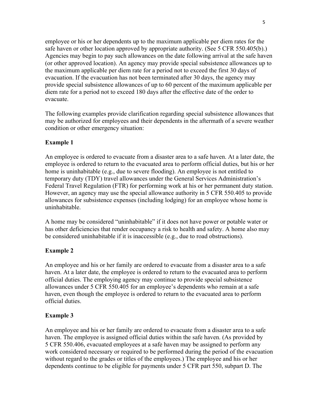employee or his or her dependents up to the maximum applicable per diem rates for the safe haven or other location approved by appropriate authority. (See 5 CFR 550.405(b).) Agencies may begin to pay such allowances on the date following arrival at the safe haven (or other approved location). An agency may provide special subsistence allowances up to the maximum applicable per diem rate for a period not to exceed the first 30 days of evacuation. If the evacuation has not been terminated after 30 days, the agency may provide special subsistence allowances of up to 60 percent of the maximum applicable per diem rate for a period not to exceed 180 days after the effective date of the order to evacuate.

The following examples provide clarification regarding special subsistence allowances that may be authorized for employees and their dependents in the aftermath of a severe weather condition or other emergency situation:

# **Example 1**

An employee is ordered to evacuate from a disaster area to a safe haven. At a later date, the employee is ordered to return to the evacuated area to perform official duties, but his or her home is uninhabitable (e.g., due to severe flooding). An employee is not entitled to temporary duty (TDY) travel allowances under the General Services Administration's Federal Travel Regulation (FTR) for performing work at his or her permanent duty station. However, an agency may use the special allowance authority in 5 CFR 550.405 to provide allowances for subsistence expenses (including lodging) for an employee whose home is uninhabitable.

A home may be considered "uninhabitable" if it does not have power or potable water or has other deficiencies that render occupancy a risk to health and safety. A home also may be considered uninhabitable if it is inaccessible (e.g., due to road obstructions).

#### **Example 2**

An employee and his or her family are ordered to evacuate from a disaster area to a safe haven. At a later date, the employee is ordered to return to the evacuated area to perform official duties. The employing agency may continue to provide special subsistence allowances under 5 CFR 550.405 for an employee's dependents who remain at a safe haven, even though the employee is ordered to return to the evacuated area to perform official duties.

#### **Example 3**

An employee and his or her family are ordered to evacuate from a disaster area to a safe haven. The employee is assigned official duties within the safe haven. (As provided by 5 CFR 550.406, evacuated employees at a safe haven may be assigned to perform any work considered necessary or required to be performed during the period of the evacuation without regard to the grades or titles of the employees.) The employee and his or her dependents continue to be eligible for payments under 5 CFR part 550, subpart D. The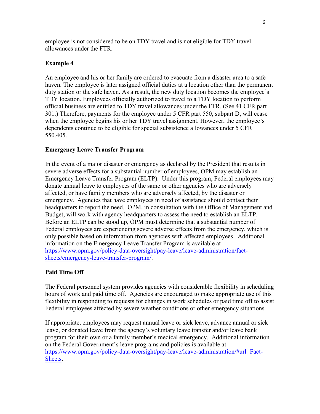employee is not considered to be on TDY travel and is not eligible for TDY travel allowances under the FTR.

# **Example 4**

An employee and his or her family are ordered to evacuate from a disaster area to a safe haven. The employee is later assigned official duties at a location other than the permanent duty station or the safe haven. As a result, the new duty location becomes the employee's TDY location. Employees officially authorized to travel to a TDY location to perform official business are entitled to TDY travel allowances under the FTR. (See 41 CFR part 301.) Therefore, payments for the employee under 5 CFR part 550, subpart D, will cease when the employee begins his or her TDY travel assignment. However, the employee's dependents continue to be eligible for special subsistence allowances under 5 CFR 550.405.

# **Emergency Leave Transfer Program**

In the event of a major disaster or emergency as declared by the President that results in severe adverse effects for a substantial number of employees, OPM may establish an Emergency Leave Transfer Program (ELTP). Under this program, Federal employees may donate annual leave to employees of the same or other agencies who are adversely affected, or have family members who are adversely affected, by the disaster or emergency. Agencies that have employees in need of assistance should contact their headquarters to report the need. OPM, in consultation with the Office of Management and Budget, will work with agency headquarters to assess the need to establish an ELTP. Before an ELTP can be stood up, OPM must determine that a substantial number of Federal employees are experiencing severe adverse effects from the emergency, which is only possible based on information from agencies with affected employees. Additional information on the Emergency Leave Transfer Program is available at [https://www.opm.gov/policy-data-oversight/pay-leave/leave-administration/fact](https://www.opm.gov/policy-data-oversight/pay-leave/leave-administration/fact-sheets/emergency-leave-transfer-program/)[sheets/emergency-leave-transfer-program/.](https://www.opm.gov/policy-data-oversight/pay-leave/leave-administration/fact-sheets/emergency-leave-transfer-program/)

# **Paid Time Off**

The Federal personnel system provides agencies with considerable flexibility in scheduling hours of work and paid time off. Agencies are encouraged to make appropriate use of this flexibility in responding to requests for changes in work schedules or paid time off to assist Federal employees affected by severe weather conditions or other emergency situations.

If appropriate, employees may request annual leave or sick leave, advance annual or sick leave, or donated leave from the agency's voluntary leave transfer and/or leave bank program for their own or a family member's medical emergency. Additional information on the Federal Government's leave programs and policies is available at [https://www.opm.gov/policy-data-oversight/pay-leave/leave-administration/#url=Fact-](https://www.opm.gov/policy-data-oversight/pay-leave/leave-administration/#url=Fact-Sheets)[Sheets.](https://www.opm.gov/policy-data-oversight/pay-leave/leave-administration/#url=Fact-Sheets)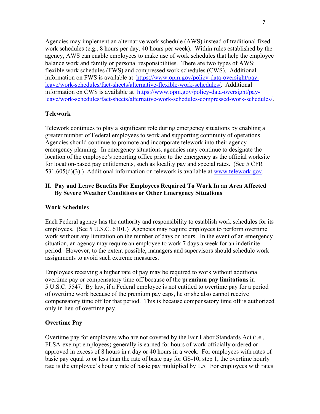<span id="page-8-0"></span>Agencies may implement an alternative work schedule (AWS) instead of traditional fixed work schedules (e.g., 8 hours per day, 40 hours per week). Within rules established by the agency, AWS can enable employees to make use of work schedules that help the employee balance work and family or personal responsibilities. There are two types of AWS: flexible work schedules (FWS) and compressed work schedules (CWS). Additional information on FWS is available at [https://www.opm.gov/policy-data-oversight/pay](https://www.opm.gov/policy-data-oversight/pay-leave/work-schedules/fact-sheets/alternative-flexible-work-schedules/)[leave/work-schedules/fact-sheets/alternative-flexible-work-schedules/.](https://www.opm.gov/policy-data-oversight/pay-leave/work-schedules/fact-sheets/alternative-flexible-work-schedules/) Additional information on CWS is available at [https://www.opm.gov/policy-data-oversight/pay](https://www.opm.gov/policy-data-oversight/pay-leave/work-schedules/fact-sheets/alternative-work-schedules-compressed-work-schedules/)[leave/work-schedules/fact-sheets/alternative-work-schedules-compressed-work-schedules/.](https://www.opm.gov/policy-data-oversight/pay-leave/work-schedules/fact-sheets/alternative-work-schedules-compressed-work-schedules/)

# **Telework**

Telework continues to play a significant role during emergency situations by enabling a greater number of Federal employees to work and supporting continuity of operations. Agencies should continue to promote and incorporate telework into their agency emergency planning. In emergency situations, agencies may continue to designate the location of the employee's reporting office prior to the emergency as the official worksite for location-based pay entitlements, such as locality pay and special rates. (See 5 CFR 531.605(d)(3).) Additional information on telework is available at [www.telework.gov.](http://www.telework.gov/)

# **II. Pay and Leave Benefits For Employees Required To Work In an Area Affected By Severe Weather Conditions or Other Emergency Situations**

# **Work Schedules**

Each Federal agency has the authority and responsibility to establish work schedules for its employees. (See 5 U.S.C. 6101.) Agencies may require employees to perform overtime work without any limitation on the number of days or hours. In the event of an emergency situation, an agency may require an employee to work 7 days a week for an indefinite period. However, to the extent possible, managers and supervisors should schedule work assignments to avoid such extreme measures.

Employees receiving a higher rate of pay may be required to work without additional overtime pay or compensatory time off because of the **premium pay limitations** in 5 U.S.C. 5547. By law, if a Federal employee is not entitled to overtime pay for a period of overtime work because of the premium pay caps, he or she also cannot receive compensatory time off for that period. This is because compensatory time off is authorized only in lieu of overtime pay.

#### **Overtime Pay**

Overtime pay for employees who are not covered by the Fair Labor Standards Act (i.e., FLSA-exempt employees) generally is earned for hours of work officially ordered or approved in excess of 8 hours in a day or 40 hours in a week. For employees with rates of basic pay equal to or less than the rate of basic pay for GS-10, step 1, the overtime hourly rate is the employee's hourly rate of basic pay multiplied by 1.5. For employees with rates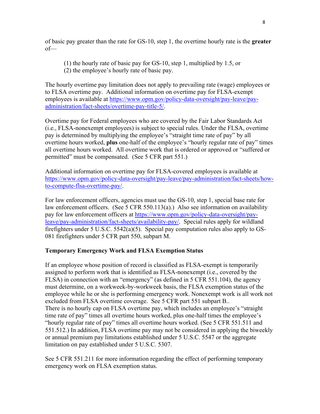of basic pay greater than the rate for GS-10, step 1, the overtime hourly rate is the **greater**  $of$ 

- (1) the hourly rate of basic pay for GS-10, step 1, multiplied by 1.5, or
- (2) the employee's hourly rate of basic pay.

The hourly overtime pay limitation does not apply to prevailing rate (wage) employees or to FLSA overtime pay. Additional information on overtime pay for FLSA-exempt employees is available at [https://www.opm.gov/policy-data-oversight/pay-leave/pay](https://www.opm.gov/policy-data-oversight/pay-leave/pay-administration/fact-sheets/overtime-pay-title-5/)[administration/fact-sheets/overtime-pay-title-5/.](https://www.opm.gov/policy-data-oversight/pay-leave/pay-administration/fact-sheets/overtime-pay-title-5/)

Overtime pay for Federal employees who are covered by the Fair Labor Standards Act (i.e., FLSA-nonexempt employees) is subject to special rules. Under the FLSA, overtime pay is determined by multiplying the employee's "straight time rate of pay" by all overtime hours worked, **plus** one-half of the employee's "hourly regular rate of pay" times all overtime hours worked. All overtime work that is ordered or approved or "suffered or permitted" must be compensated. (See 5 CFR part 551.)

Additional information on overtime pay for FLSA-covered employees is available at [https://www.opm.gov/policy-data-oversight/pay-leave/pay-administration/fact-sheets/how](https://www.opm.gov/policy-data-oversight/pay-leave/pay-administration/fact-sheets/how-to-compute-flsa-overtime-pay/)[to-compute-flsa-overtime-pay/.](https://www.opm.gov/policy-data-oversight/pay-leave/pay-administration/fact-sheets/how-to-compute-flsa-overtime-pay/)

For law enforcement officers, agencies must use the GS-10, step 1, special base rate for law enforcement officers. (See 5 CFR 550.113(a).) Also see information on availability pay for law enforcement officers at [https://www.opm.gov/policy-data-oversight/pay](https://www.opm.gov/policy-data-oversight/pay-leave/pay-administration/fact-sheets/availability-pay/)[leave/pay-administration/fact-sheets/availability-pay/.](https://www.opm.gov/policy-data-oversight/pay-leave/pay-administration/fact-sheets/availability-pay/) Special rules apply for wildland firefighters under 5 U.S.C. 5542(a)(5). Special pay computation rules also apply to GS-081 firefighters under 5 CFR part 550, subpart M.

# **Temporary Emergency Work and FLSA Exemption Status**

If an employee whose position of record is classified as FLSA-exempt is temporarily assigned to perform work that is identified as FLSA-nonexempt (i.e., covered by the FLSA) in connection with an "emergency" (as defined in 5 CFR 551.104), the agency must determine, on a workweek-by-workweek basis, the FLSA exemption status of the employee while he or she is performing emergency work. Nonexempt work is all work not excluded from FLSA overtime coverage. See 5 CFR part 551 subpart B.. There is no hourly cap on FLSA overtime pay, which includes an employee's "straight time rate of pay" times all overtime hours worked, plus one-half times the employee's "hourly regular rate of pay" times all overtime hours worked. (See 5 CFR 551.511 and 551.512.) In addition, FLSA overtime pay may not be considered in applying the biweekly or annual premium pay limitations established under 5 U.S.C. 5547 or the aggregate limitation on pay established under 5 U.S.C. 5307.

See 5 CFR 551.211 for more information regarding the effect of performing temporary emergency work on FLSA exemption status.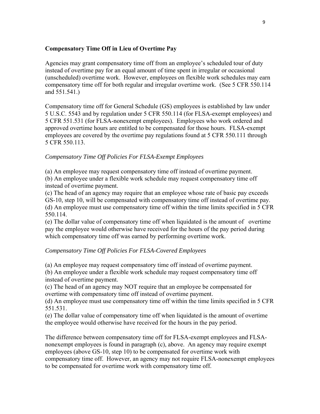#### **Compensatory Time Off in Lieu of Overtime Pay**

Agencies may grant compensatory time off from an employee's scheduled tour of duty instead of overtime pay for an equal amount of time spent in irregular or occasional (unscheduled) overtime work. However, employees on flexible work schedules may earn compensatory time off for both regular and irregular overtime work. (See 5 CFR 550.114 and 551.541.)

Compensatory time off for General Schedule (GS) employees is established by law under 5 U.S.C. 5543 and by regulation under 5 CFR 550.114 (for FLSA-exempt employees) and 5 CFR 551.531 (for FLSA-nonexempt employees). Employees who work ordered and approved overtime hours are entitled to be compensated for those hours. FLSA-exempt employees are covered by the overtime pay regulations found at 5 CFR 550.111 through 5 CFR 550.113.

#### *Compensatory Time Off Policies For FLSA-Exempt Employees*

(a) An employee may request compensatory time off instead of overtime payment.

(b) An employee under a flexible work schedule may request compensatory time off instead of overtime payment.

(c) The head of an agency may require that an employee whose rate of basic pay exceeds GS-10, step 10, will be compensated with compensatory time off instead of overtime pay. (d) An employee must use compensatory time off within the time limits specified in 5 CFR 550.114.

(e) The dollar value of compensatory time off when liquidated is the amount of overtime pay the employee would otherwise have received for the hours of the pay period during which compensatory time off was earned by performing overtime work.

#### *Compensatory Time Off Policies For FLSA-Covered Employees*

(a) An employee may request compensatory time off instead of overtime payment.

(b) An employee under a flexible work schedule may request compensatory time off instead of overtime payment.

(c) The head of an agency may NOT require that an employee be compensated for overtime with compensatory time off instead of overtime payment.

(d) An employee must use compensatory time off within the time limits specified in 5 CFR 551.531.

(e) The dollar value of compensatory time off when liquidated is the amount of overtime the employee would otherwise have received for the hours in the pay period.

The difference between compensatory time off for FLSA-exempt employees and FLSAnonexempt employees is found in paragraph (c), above. An agency may require exempt employees (above GS-10, step 10) to be compensated for overtime work with compensatory time off. However, an agency may not require FLSA-nonexempt employees to be compensated for overtime work with compensatory time off.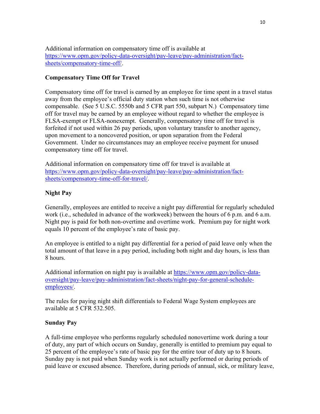Additional information on compensatory time off is available at [https://www.opm.gov/policy-data-oversight/pay-leave/pay-administration/fact](https://www.opm.gov/policy-data-oversight/pay-leave/pay-administration/fact-sheets/compensatory-time-off/)[sheets/compensatory-time-off/.](https://www.opm.gov/policy-data-oversight/pay-leave/pay-administration/fact-sheets/compensatory-time-off/)

# **Compensatory Time Off for Travel**

Compensatory time off for travel is earned by an employee for time spent in a travel status away from the employee's official duty station when such time is not otherwise compensable. (See 5 U.S.C. 5550b and 5 CFR part 550, subpart N.) Compensatory time off for travel may be earned by an employee without regard to whether the employee is FLSA-exempt or FLSA-nonexempt. Generally, compensatory time off for travel is forfeited if not used within 26 pay periods, upon voluntary transfer to another agency, upon movement to a noncovered position, or upon separation from the Federal Government. Under no circumstances may an employee receive payment for unused compensatory time off for travel.

Additional information on compensatory time off for travel is available at [https://www.opm.gov/policy-data-oversight/pay-leave/pay-administration/fact](https://www.opm.gov/policy-data-oversight/pay-leave/pay-administration/fact-sheets/compensatory-time-off-for-travel/)[sheets/compensatory-time-off-for-travel/.](https://www.opm.gov/policy-data-oversight/pay-leave/pay-administration/fact-sheets/compensatory-time-off-for-travel/)

# **Night Pay**

Generally, employees are entitled to receive a night pay differential for regularly scheduled work (i.e., scheduled in advance of the workweek) between the hours of 6 p.m. and 6 a.m. Night pay is paid for both non-overtime and overtime work. Premium pay for night work equals 10 percent of the employee's rate of basic pay.

An employee is entitled to a night pay differential for a period of paid leave only when the total amount of that leave in a pay period, including both night and day hours, is less than 8 hours.

Additional information on night pay is available at [https://www.opm.gov/policy-data](https://www.opm.gov/policy-data-oversight/pay-leave/pay-administration/fact-sheets/night-pay-for-general-schedule-employees/)[oversight/pay-leave/pay-administration/fact-sheets/night-pay-for-general-schedule](https://www.opm.gov/policy-data-oversight/pay-leave/pay-administration/fact-sheets/night-pay-for-general-schedule-employees/)[employees/.](https://www.opm.gov/policy-data-oversight/pay-leave/pay-administration/fact-sheets/night-pay-for-general-schedule-employees/)

The rules for paying night shift differentials to Federal Wage System employees are available at 5 CFR 532.505.

#### **Sunday Pay**

A full-time employee who performs regularly scheduled nonovertime work during a tour of duty, any part of which occurs on Sunday, generally is entitled to premium pay equal to 25 percent of the employee's rate of basic pay for the entire tour of duty up to 8 hours. Sunday pay is not paid when Sunday work is not actually performed or during periods of paid leave or excused absence. Therefore, during periods of annual, sick, or military leave,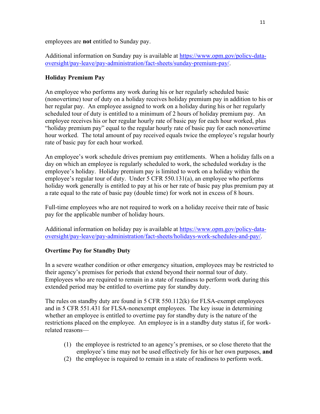employees are **not** entitled to Sunday pay.

Additional information on Sunday pay is available at [https://www.opm.gov/policy-data](https://www.opm.gov/policy-data-oversight/pay-leave/pay-administration/fact-sheets/sunday-premium-pay/)[oversight/pay-leave/pay-administration/fact-sheets/sunday-premium-pay/.](https://www.opm.gov/policy-data-oversight/pay-leave/pay-administration/fact-sheets/sunday-premium-pay/)

# **Holiday Premium Pay**

An employee who performs any work during his or her regularly scheduled basic (nonovertime) tour of duty on a holiday receives holiday premium pay in addition to his or her regular pay. An employee assigned to work on a holiday during his or her regularly scheduled tour of duty is entitled to a minimum of 2 hours of holiday premium pay. An employee receives his or her regular hourly rate of basic pay for each hour worked, plus "holiday premium pay" equal to the regular hourly rate of basic pay for each nonovertime hour worked. The total amount of pay received equals twice the employee's regular hourly rate of basic pay for each hour worked.

An employee's work schedule drives premium pay entitlements. When a holiday falls on a day on which an employee is regularly scheduled to work, the scheduled workday is the employee's holiday. Holiday premium pay is limited to work on a holiday within the employee's regular tour of duty. Under 5 CFR 550.131(a), an employee who performs holiday work generally is entitled to pay at his or her rate of basic pay plus premium pay at a rate equal to the rate of basic pay (double time) for work not in excess of 8 hours.

Full-time employees who are not required to work on a holiday receive their rate of basic pay for the applicable number of holiday hours.

Additional information on holiday pay is available at [https://www.opm.gov/policy-data](https://www.opm.gov/policy-data-oversight/pay-leave/pay-administration/fact-sheets/holidays-work-schedules-and-pay/)[oversight/pay-leave/pay-administration/fact-sheets/holidays-work-schedules-and-pay/.](https://www.opm.gov/policy-data-oversight/pay-leave/pay-administration/fact-sheets/holidays-work-schedules-and-pay/)

# **Overtime Pay for Standby Duty**

In a severe weather condition or other emergency situation, employees may be restricted to their agency's premises for periods that extend beyond their normal tour of duty. Employees who are required to remain in a state of readiness to perform work during this extended period may be entitled to overtime pay for standby duty.

The rules on standby duty are found in 5 CFR 550.112(k) for FLSA-exempt employees and in 5 CFR 551.431 for FLSA-nonexempt employees. The key issue in determining whether an employee is entitled to overtime pay for standby duty is the nature of the restrictions placed on the employee. An employee is in a standby duty status if, for workrelated reasons—

- (1) the employee is restricted to an agency's premises, or so close thereto that the employee's time may not be used effectively for his or her own purposes, **and**
- (2) the employee is required to remain in a state of readiness to perform work.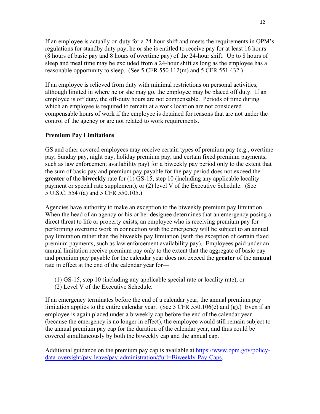If an employee is actually on duty for a 24-hour shift and meets the requirements in OPM's regulations for standby duty pay, he or she is entitled to receive pay for at least 16 hours (8 hours of basic pay and 8 hours of overtime pay) of the 24-hour shift. Up to 8 hours of sleep and meal time may be excluded from a 24-hour shift as long as the employee has a reasonable opportunity to sleep. (See 5 CFR 550.112(m) and 5 CFR 551.432.)

If an employee is relieved from duty with minimal restrictions on personal activities, although limited in where he or she may go, the employee may be placed off duty. If an employee is off duty, the off-duty hours are not compensable. Periods of time during which an employee is required to remain at a work location are not considered compensable hours of work if the employee is detained for reasons that are not under the control of the agency or are not related to work requirements.

# **Premium Pay Limitations**

GS and other covered employees may receive certain types of premium pay (e.g., overtime pay, Sunday pay, night pay, holiday premium pay, and certain fixed premium payments, such as law enforcement availability pay) for a biweekly pay period only to the extent that the sum of basic pay and premium pay payable for the pay period does not exceed the **greater** of the **biweekly** rate for (1) GS-15, step 10 (including any applicable locality payment or special rate supplement), or (2) level V of the Executive Schedule. (See 5 U.S.C. 5547(a) and 5 CFR 550.105.)

Agencies have authority to make an exception to the biweekly premium pay limitation. When the head of an agency or his or her designee determines that an emergency posing a direct threat to life or property exists, an employee who is receiving premium pay for performing overtime work in connection with the emergency will be subject to an annual pay limitation rather than the biweekly pay limitation (with the exception of certain fixed premium payments, such as law enforcement availability pay). Employees paid under an annual limitation receive premium pay only to the extent that the aggregate of basic pay and premium pay payable for the calendar year does not exceed the **greater** of the **annual** rate in effect at the end of the calendar year for—

- (1) GS-15, step 10 (including any applicable special rate or locality rate), or
- (2) Level V of the Executive Schedule.

If an emergency terminates before the end of a calendar year, the annual premium pay limitation applies to the entire calendar year. (See 5 CFR 550.106(c) and  $(g)$ .) Even if an employee is again placed under a biweekly cap before the end of the calendar year (because the emergency is no longer in effect), the employee would still remain subject to the annual premium pay cap for the duration of the calendar year, and thus could be covered simultaneously by both the biweekly cap and the annual cap.

Additional guidance on the premium pay cap is available at [https://www.opm.gov/policy](https://www.opm.gov/policy-data-oversight/pay-leave/pay-administration/#url=Biweekly-Pay-Caps)[data-oversight/pay-leave/pay-administration/#url=Biweekly-Pay-Caps.](https://www.opm.gov/policy-data-oversight/pay-leave/pay-administration/#url=Biweekly-Pay-Caps)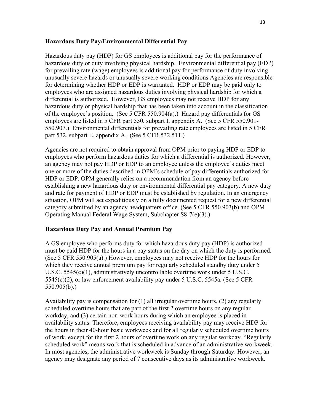#### **Hazardous Duty Pay/Environmental Differential Pay**

Hazardous duty pay (HDP) for GS employees is additional pay for the performance of hazardous duty or duty involving physical hardship. Environmental differential pay (EDP) for prevailing rate (wage) employees is additional pay for performance of duty involving unusually severe hazards or unusually severe working conditions Agencies are responsible for determining whether HDP or EDP is warranted. HDP or EDP may be paid only to employees who are assigned hazardous duties involving physical hardship for which a differential is authorized. However, GS employees may not receive HDP for any hazardous duty or physical hardship that has been taken into account in the classification of the employee's position. (See 5 CFR 550.904(a).) Hazard pay differentials for GS employees are listed in 5 CFR part 550, subpart I, appendix A. (See 5 CFR 550.901- 550.907.) Environmental differentials for prevailing rate employees are listed in 5 CFR part 532, subpart E, appendix A. (See 5 CFR 532.511.)

Agencies are not required to obtain approval from OPM prior to paying HDP or EDP to employees who perform hazardous duties for which a differential is authorized. However, an agency may not pay HDP or EDP to an employee unless the employee's duties meet one or more of the duties described in OPM's schedule of pay differentials authorized for HDP or EDP. OPM generally relies on a recommendation from an agency before establishing a new hazardous duty or environmental differential pay category. A new duty and rate for payment of HDP or EDP must be established by regulation. In an emergency situation, OPM will act expeditiously on a fully documented request for a new differential category submitted by an agency headquarters office. (See 5 CFR 550.903(b) and OPM Operating Manual Federal Wage System, Subchapter S8-7(e)(3).)

#### **Hazardous Duty Pay and Annual Premium Pay**

A GS employee who performs duty for which hazardous duty pay (HDP) is authorized must be paid HDP for the hours in a pay status on the day on which the duty is performed. (See 5 CFR 550.905(a).) However, employees may not receive HDP for the hours for which they receive annual premium pay for regularly scheduled standby duty under 5 U.S.C. 5545(c)(1), administratively uncontrollable overtime work under 5 U.S.C. 5545(c)(2), or law enforcement availability pay under 5 U.S.C. 5545a. (See 5 CFR 550.905(b).)

Availability pay is compensation for (1) all irregular overtime hours, (2) any regularly scheduled overtime hours that are part of the first 2 overtime hours on any regular workday, and (3) certain non-work hours during which an employee is placed in availability status. Therefore, employees receiving availability pay may receive HDP for the hours in their 40-hour basic workweek and for all regularly scheduled overtime hours of work, except for the first 2 hours of overtime work on any regular workday. "Regularly scheduled work" means work that is scheduled in advance of an administrative workweek. In most agencies, the administrative workweek is Sunday through Saturday. However, an agency may designate any period of 7 consecutive days as its administrative workweek.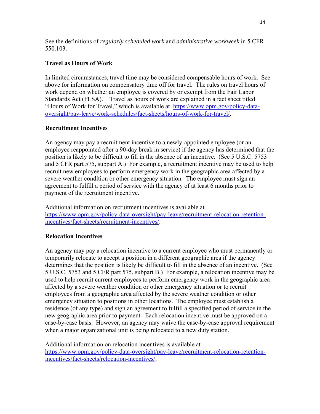See the definitions of *regularly scheduled work* and *administrative workweek* in 5 CFR 550.103.

# **Travel as Hours of Work**

In limited circumstances, travel time may be considered compensable hours of work. See above for information on compensatory time off for travel. The rules on travel hours of work depend on whether an employee is covered by or exempt from the Fair Labor Standards Act (FLSA). Travel as hours of work are explained in a fact sheet titled "Hours of Work for Travel," which is available at [https://www.opm.gov/policy-data](https://www.opm.gov/policy-data-oversight/pay-leave/work-schedules/fact-sheets/hours-of-work-for-travel/)[oversight/pay-leave/work-schedules/fact-sheets/hours-of-work-for-travel/.](https://www.opm.gov/policy-data-oversight/pay-leave/work-schedules/fact-sheets/hours-of-work-for-travel/)

# **Recruitment Incentives**

An agency may pay a recruitment incentive to a newly-appointed employee (or an employee reappointed after a 90-day break in service) if the agency has determined that the position is likely to be difficult to fill in the absence of an incentive. (See 5 U.S.C. 5753 and 5 CFR part 575, subpart A.) For example, a recruitment incentive may be used to help recruit new employees to perform emergency work in the geographic area affected by a severe weather condition or other emergency situation. The employee must sign an agreement to fulfill a period of service with the agency of at least 6 months prior to payment of the recruitment incentive.

Additional information on recruitment incentives is available at [https://www.opm.gov/policy-data-oversight/pay-leave/recruitment-relocation-retention](https://www.opm.gov/policy-data-oversight/pay-leave/recruitment-relocation-retention-incentives/fact-sheets/recruitment-incentives/)[incentives/fact-sheets/recruitment-incentives/.](https://www.opm.gov/policy-data-oversight/pay-leave/recruitment-relocation-retention-incentives/fact-sheets/recruitment-incentives/)

# **Relocation Incentives**

An agency may pay a relocation incentive to a current employee who must permanently or temporarily relocate to accept a position in a different geographic area if the agency determines that the position is likely be difficult to fill in the absence of an incentive. (See 5 U.S.C. 5753 and 5 CFR part 575, subpart B.) For example, a relocation incentive may be used to help recruit current employees to perform emergency work in the geographic area affected by a severe weather condition or other emergency situation or to recruit employees from a geographic area affected by the severe weather condition or other emergency situation to positions in other locations. The employee must establish a residence (of any type) and sign an agreement to fulfill a specified period of service in the new geographic area prior to payment. Each relocation incentive must be approved on a case-by-case basis. However, an agency may waive the case-by-case approval requirement when a major organizational unit is being relocated to a new duty station.

Additional information on relocation incentives is available at [https://www.opm.gov/policy-data-oversight/pay-leave/recruitment-relocation-retention](https://www.opm.gov/policy-data-oversight/pay-leave/recruitment-relocation-retention-incentives/fact-sheets/relocation-incentives/)[incentives/fact-sheets/relocation-incentives/.](https://www.opm.gov/policy-data-oversight/pay-leave/recruitment-relocation-retention-incentives/fact-sheets/relocation-incentives/)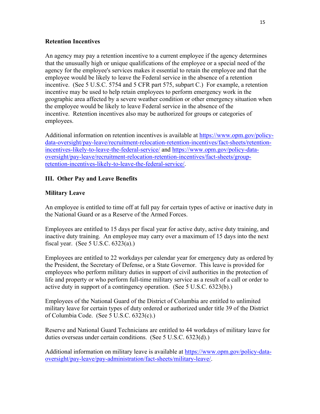#### <span id="page-16-0"></span>**Retention Incentives**

An agency may pay a retention incentive to a current employee if the agency determines that the unusually high or unique qualifications of the employee or a special need of the agency for the employee's services makes it essential to retain the employee and that the employee would be likely to leave the Federal service in the absence of a retention incentive. (See 5 U.S.C. 5754 and 5 CFR part 575, subpart C.) For example, a retention incentive may be used to help retain employees to perform emergency work in the geographic area affected by a severe weather condition or other emergency situation when the employee would be likely to leave Federal service in the absence of the incentive. Retention incentives also may be authorized for groups or categories of employees.

Additional information on retention incentives is available at [https://www.opm.gov/policy](https://www.opm.gov/policy-data-oversight/pay-leave/recruitment-relocation-retention-incentives/fact-sheets/retention-incentives-likely-to-leave-the-federal-service/)[data-oversight/pay-leave/recruitment-relocation-retention-incentives/fact-sheets/retention](https://www.opm.gov/policy-data-oversight/pay-leave/recruitment-relocation-retention-incentives/fact-sheets/retention-incentives-likely-to-leave-the-federal-service/)[incentives-likely-to-leave-the-federal-service/](https://www.opm.gov/policy-data-oversight/pay-leave/recruitment-relocation-retention-incentives/fact-sheets/retention-incentives-likely-to-leave-the-federal-service/) and [https://www.opm.gov/policy-data](https://www.opm.gov/policy-data-oversight/pay-leave/recruitment-relocation-retention-incentives/fact-sheets/group-retention-incentives-likely-to-leave-the-federal-service/)[oversight/pay-leave/recruitment-relocation-retention-incentives/fact-sheets/group](https://www.opm.gov/policy-data-oversight/pay-leave/recruitment-relocation-retention-incentives/fact-sheets/group-retention-incentives-likely-to-leave-the-federal-service/)[retention-incentives-likely-to-leave-the-federal-service/.](https://www.opm.gov/policy-data-oversight/pay-leave/recruitment-relocation-retention-incentives/fact-sheets/group-retention-incentives-likely-to-leave-the-federal-service/)

# **III. Other Pay and Leave Benefits**

#### **Military Leave**

An employee is entitled to time off at full pay for certain types of active or inactive duty in the National Guard or as a Reserve of the Armed Forces.

Employees are entitled to 15 days per fiscal year for active duty, active duty training, and inactive duty training. An employee may carry over a maximum of 15 days into the next fiscal year. (See 5 U.S.C. 6323(a).)

Employees are entitled to 22 workdays per calendar year for emergency duty as ordered by the President, the Secretary of Defense, or a State Governor. This leave is provided for employees who perform military duties in support of civil authorities in the protection of life and property or who perform full-time military service as a result of a call or order to active duty in support of a contingency operation. (See 5 U.S.C. 6323(b).)

Employees of the National Guard of the District of Columbia are entitled to unlimited military leave for certain types of duty ordered or authorized under title 39 of the District of Columbia Code. (See 5 U.S.C. 6323(c).)

Reserve and National Guard Technicians are entitled to 44 workdays of military leave for duties overseas under certain conditions. (See 5 U.S.C. 6323(d).)

Additional information on military leave is available at [https://www.opm.gov/policy-data](https://www.opm.gov/policy-data-oversight/pay-leave/pay-administration/fact-sheets/military-leave/)[oversight/pay-leave/pay-administration/fact-sheets/military-leave/.](https://www.opm.gov/policy-data-oversight/pay-leave/pay-administration/fact-sheets/military-leave/)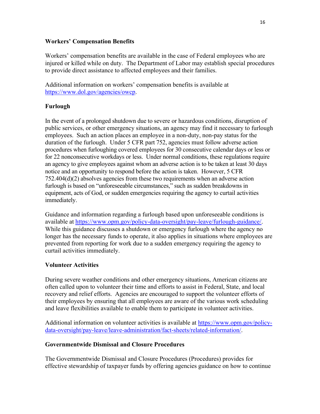#### **Workers' Compensation Benefits**

Workers' compensation benefits are available in the case of Federal employees who are injured or killed while on duty. The Department of Labor may establish special procedures to provide direct assistance to affected employees and their families.

Additional information on workers' compensation benefits is available at [https://www.dol.gov/agencies/owcp.](https://www.dol.gov/agencies/owcp)

# **Furlough**

In the event of a prolonged shutdown due to severe or hazardous conditions, disruption of public services, or other emergency situations, an agency may find it necessary to furlough employees. Such an action places an employee in a non-duty, non-pay status for the duration of the furlough. Under 5 CFR part 752, agencies must follow adverse action procedures when furloughing covered employees for 30 consecutive calendar days or less or for 22 nonconsecutive workdays or less. Under normal conditions, these regulations require an agency to give employees against whom an adverse action is to be taken at least 30 days notice and an opportunity to respond before the action is taken. However, 5 CFR 752.404(d)(2) absolves agencies from these two requirements when an adverse action furlough is based on "unforeseeable circumstances," such as sudden breakdowns in equipment, acts of God, or sudden emergencies requiring the agency to curtail activities immediately.

Guidance and information regarding a furlough based upon unforeseeable conditions is available at [https://www.opm.gov/policy-data-oversight/pay-leave/furlough-guidance/.](https://www.opm.gov/policy-data-oversight/pay-leave/furlough-guidance/) While this guidance discusses a shutdown or emergency furlough where the agency no longer has the necessary funds to operate, it also applies in situations where employees are prevented from reporting for work due to a sudden emergency requiring the agency to curtail activities immediately.

# **Volunteer Activities**

During severe weather conditions and other emergency situations, American citizens are often called upon to volunteer their time and efforts to assist in Federal, State, and local recovery and relief efforts. Agencies are encouraged to support the volunteer efforts of their employees by ensuring that all employees are aware of the various work scheduling and leave flexibilities available to enable them to participate in volunteer activities.

Additional information on volunteer activities is available at [https://www.opm.gov/policy](https://www.opm.gov/policy-data-oversight/pay-leave/leave-administration/fact-sheets/related-information/)[data-oversight/pay-leave/leave-administration/fact-sheets/related-information/.](https://www.opm.gov/policy-data-oversight/pay-leave/leave-administration/fact-sheets/related-information/)

#### **Governmentwide Dismissal and Closure Procedures**

The Governmentwide Dismissal and Closure Procedures (Procedures) provides for effective stewardship of taxpayer funds by offering agencies guidance on how to continue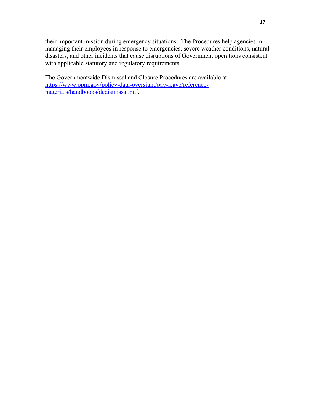their important mission during emergency situations. The Procedures help agencies in managing their employees in response to emergencies, severe weather conditions, natural disasters, and other incidents that cause disruptions of Government operations consistent with applicable statutory and regulatory requirements.

The Governmentwide Dismissal and Closure Procedures are available at [https://www.opm.gov/policy-data-oversight/pay-leave/reference](https://www.opm.gov/policy-data-oversight/pay-leave/reference-materials/handbooks/dcdismissal.pdf)[materials/handbooks/dcdismissal.pdf.](https://www.opm.gov/policy-data-oversight/pay-leave/reference-materials/handbooks/dcdismissal.pdf)